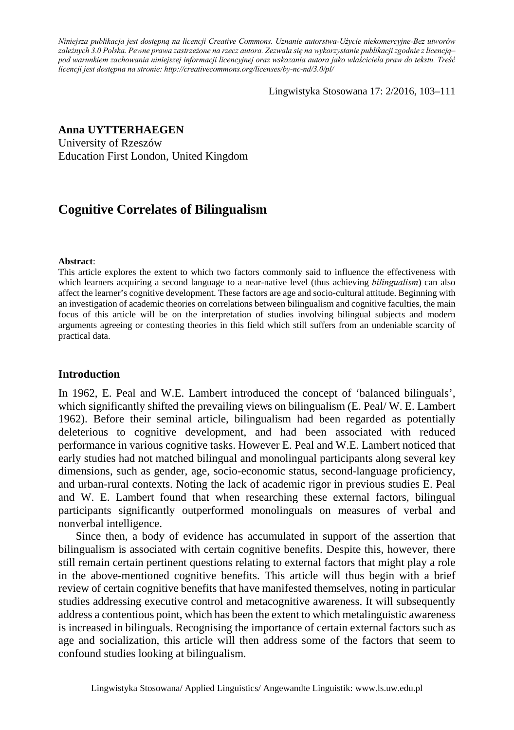*Niniejsza publikacja jest dostępną na licencji Creative Commons. Uznanie autorstwa-Użycie niekomercyjne-Bez utworów zależnych 3.0 Polska. Pewne prawa zastrzeżone na rzecz autora. Zezwala się na wykorzystanie publikacji zgodnie z licencją– pod warunkiem zachowania niniejszej informacji licencyjnej oraz wskazania autora jako właściciela praw do tekstu. Treść licencji jest dostępna na stronie: http://creativecommons.org/licenses/by-nc-nd/3.0/pl/*

Lingwistyka Stosowana 17: 2/2016, 103–111

## **Anna UYTTERHAEGEN**

University of Rzeszów Education First London, United Kingdom

# **Cognitive Correlates of Bilingualism**

#### **Abstract**:

This article explores the extent to which two factors commonly said to influence the effectiveness with which learners acquiring a second language to a near-native level (thus achieving *bilingualism*) can also affect the learner's cognitive development. These factors are age and socio-cultural attitude. Beginning with an investigation of academic theories on correlations between bilingualism and cognitive faculties, the main focus of this article will be on the interpretation of studies involving bilingual subjects and modern arguments agreeing or contesting theories in this field which still suffers from an undeniable scarcity of practical data.

### **Introduction**

In 1962, E. Peal and W.E. Lambert introduced the concept of 'balanced bilinguals', which significantly shifted the prevailing views on bilingualism (E. Peal/W. E. Lambert 1962). Before their seminal article, bilingualism had been regarded as potentially deleterious to cognitive development, and had been associated with reduced performance in various cognitive tasks. However E. Peal and W.E. Lambert noticed that early studies had not matched bilingual and monolingual participants along several key dimensions, such as gender, age, socio-economic status, second-language proficiency, and urban-rural contexts. Noting the lack of academic rigor in previous studies E. Peal and W. E. Lambert found that when researching these external factors, bilingual participants significantly outperformed monolinguals on measures of verbal and nonverbal intelligence.

Since then, a body of evidence has accumulated in support of the assertion that bilingualism is associated with certain cognitive benefits. Despite this, however, there still remain certain pertinent questions relating to external factors that might play a role in the above-mentioned cognitive benefits. This article will thus begin with a brief review of certain cognitive benefits that have manifested themselves, noting in particular studies addressing executive control and metacognitive awareness. It will subsequently address a contentious point, which has been the extent to which metalinguistic awareness is increased in bilinguals. Recognising the importance of certain external factors such as age and socialization, this article will then address some of the factors that seem to confound studies looking at bilingualism.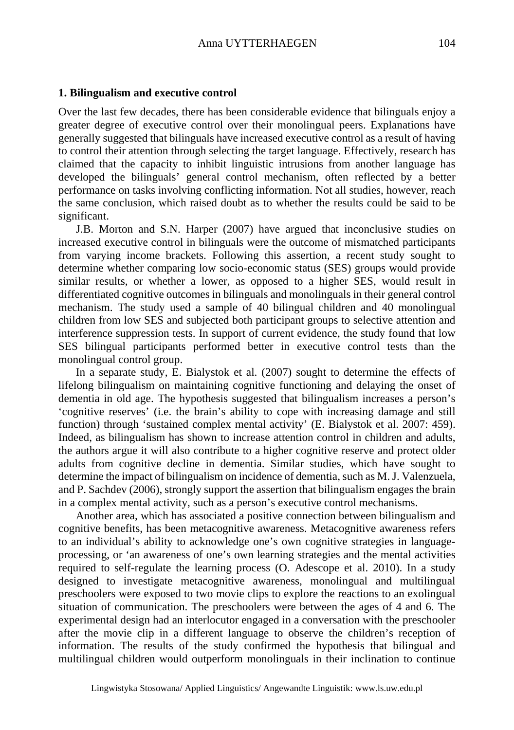### **1. Bilingualism and executive control**

Over the last few decades, there has been considerable evidence that bilinguals enjoy a greater degree of executive control over their monolingual peers. Explanations have generally suggested that bilinguals have increased executive control as a result of having to control their attention through selecting the target language. Effectively, research has claimed that the capacity to inhibit linguistic intrusions from another language has developed the bilinguals' general control mechanism, often reflected by a better performance on tasks involving conflicting information. Not all studies, however, reach the same conclusion, which raised doubt as to whether the results could be said to be significant.

J.B. Morton and S.N. Harper (2007) have argued that inconclusive studies on increased executive control in bilinguals were the outcome of mismatched participants from varying income brackets. Following this assertion, a recent study sought to determine whether comparing low socio-economic status (SES) groups would provide similar results, or whether a lower, as opposed to a higher SES, would result in differentiated cognitive outcomes in bilinguals and monolinguals in their general control mechanism. The study used a sample of 40 bilingual children and 40 monolingual children from low SES and subjected both participant groups to selective attention and interference suppression tests. In support of current evidence, the study found that low SES bilingual participants performed better in executive control tests than the monolingual control group.

In a separate study, E. Bialystok et al. (2007) sought to determine the effects of lifelong bilingualism on maintaining cognitive functioning and delaying the onset of dementia in old age. The hypothesis suggested that bilingualism increases a person's 'cognitive reserves' (i.e. the brain's ability to cope with increasing damage and still function) through 'sustained complex mental activity' (E. Bialystok et al. 2007: 459). Indeed, as bilingualism has shown to increase attention control in children and adults, the authors argue it will also contribute to a higher cognitive reserve and protect older adults from cognitive decline in dementia. Similar studies, which have sought to determine the impact of bilingualism on incidence of dementia, such as M. J. Valenzuela, and P. Sachdev (2006), strongly support the assertion that bilingualism engages the brain in a complex mental activity, such as a person's executive control mechanisms.

Another area, which has associated a positive connection between bilingualism and cognitive benefits, has been metacognitive awareness. Metacognitive awareness refers to an individual's ability to acknowledge one's own cognitive strategies in languageprocessing, or 'an awareness of one's own learning strategies and the mental activities required to self-regulate the learning process (O. Adescope et al. 2010). In a study designed to investigate metacognitive awareness, monolingual and multilingual preschoolers were exposed to two movie clips to explore the reactions to an exolingual situation of communication. The preschoolers were between the ages of 4 and 6. The experimental design had an interlocutor engaged in a conversation with the preschooler after the movie clip in a different language to observe the children's reception of information. The results of the study confirmed the hypothesis that bilingual and multilingual children would outperform monolinguals in their inclination to continue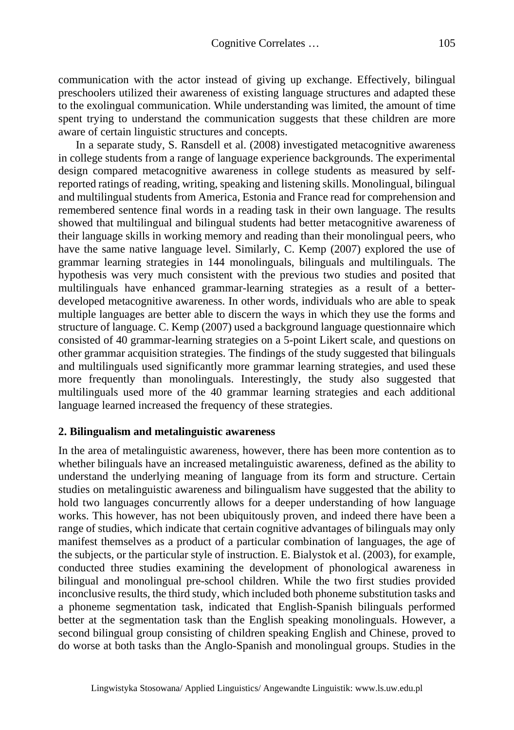communication with the actor instead of giving up exchange. Effectively, bilingual preschoolers utilized their awareness of existing language structures and adapted these to the exolingual communication. While understanding was limited, the amount of time spent trying to understand the communication suggests that these children are more aware of certain linguistic structures and concepts.

In a separate study, S. Ransdell et al. (2008) investigated metacognitive awareness in college students from a range of language experience backgrounds. The experimental design compared metacognitive awareness in college students as measured by selfreported ratings of reading, writing, speaking and listening skills. Monolingual, bilingual and multilingual students from America, Estonia and France read for comprehension and remembered sentence final words in a reading task in their own language. The results showed that multilingual and bilingual students had better metacognitive awareness of their language skills in working memory and reading than their monolingual peers, who have the same native language level. Similarly, C. Kemp (2007) explored the use of grammar learning strategies in 144 monolinguals, bilinguals and multilinguals. The hypothesis was very much consistent with the previous two studies and posited that multilinguals have enhanced grammar-learning strategies as a result of a betterdeveloped metacognitive awareness. In other words, individuals who are able to speak multiple languages are better able to discern the ways in which they use the forms and structure of language. C. Kemp (2007) used a background language questionnaire which consisted of 40 grammar-learning strategies on a 5-point Likert scale, and questions on other grammar acquisition strategies. The findings of the study suggested that bilinguals and multilinguals used significantly more grammar learning strategies, and used these more frequently than monolinguals. Interestingly, the study also suggested that multilinguals used more of the 40 grammar learning strategies and each additional language learned increased the frequency of these strategies.

### **2. Bilingualism and metalinguistic awareness**

In the area of metalinguistic awareness, however, there has been more contention as to whether bilinguals have an increased metalinguistic awareness, defined as the ability to understand the underlying meaning of language from its form and structure. Certain studies on metalinguistic awareness and bilingualism have suggested that the ability to hold two languages concurrently allows for a deeper understanding of how language works. This however, has not been ubiquitously proven, and indeed there have been a range of studies, which indicate that certain cognitive advantages of bilinguals may only manifest themselves as a product of a particular combination of languages, the age of the subjects, or the particular style of instruction. E. Bialystok et al. (2003), for example, conducted three studies examining the development of phonological awareness in bilingual and monolingual pre-school children. While the two first studies provided inconclusive results, the third study, which included both phoneme substitution tasks and a phoneme segmentation task, indicated that English-Spanish bilinguals performed better at the segmentation task than the English speaking monolinguals. However, a second bilingual group consisting of children speaking English and Chinese, proved to do worse at both tasks than the Anglo-Spanish and monolingual groups. Studies in the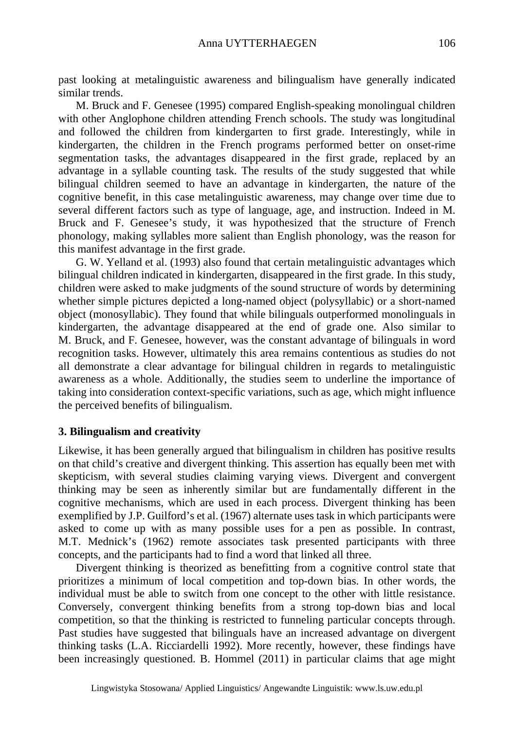past looking at metalinguistic awareness and bilingualism have generally indicated similar trends.

M. Bruck and F. Genesee (1995) compared English-speaking monolingual children with other Anglophone children attending French schools. The study was longitudinal and followed the children from kindergarten to first grade. Interestingly, while in kindergarten, the children in the French programs performed better on onset-rime segmentation tasks, the advantages disappeared in the first grade, replaced by an advantage in a syllable counting task. The results of the study suggested that while bilingual children seemed to have an advantage in kindergarten, the nature of the cognitive benefit, in this case metalinguistic awareness, may change over time due to several different factors such as type of language, age, and instruction. Indeed in M. Bruck and F. Genesee's study, it was hypothesized that the structure of French phonology, making syllables more salient than English phonology, was the reason for this manifest advantage in the first grade.

G. W. Yelland et al. (1993) also found that certain metalinguistic advantages which bilingual children indicated in kindergarten, disappeared in the first grade. In this study, children were asked to make judgments of the sound structure of words by determining whether simple pictures depicted a long-named object (polysyllabic) or a short-named object (monosyllabic). They found that while bilinguals outperformed monolinguals in kindergarten, the advantage disappeared at the end of grade one. Also similar to M. Bruck, and F. Genesee, however, was the constant advantage of bilinguals in word recognition tasks. However, ultimately this area remains contentious as studies do not all demonstrate a clear advantage for bilingual children in regards to metalinguistic awareness as a whole. Additionally, the studies seem to underline the importance of taking into consideration context-specific variations, such as age, which might influence the perceived benefits of bilingualism.

## **3. Bilingualism and creativity**

Likewise, it has been generally argued that bilingualism in children has positive results on that child's creative and divergent thinking. This assertion has equally been met with skepticism, with several studies claiming varying views. Divergent and convergent thinking may be seen as inherently similar but are fundamentally different in the cognitive mechanisms, which are used in each process. Divergent thinking has been exemplified by J.P. Guilford's et al. (1967) alternate uses task in which participants were asked to come up with as many possible uses for a pen as possible. In contrast, M.T. Mednick's (1962) remote associates task presented participants with three concepts, and the participants had to find a word that linked all three.

Divergent thinking is theorized as benefitting from a cognitive control state that prioritizes a minimum of local competition and top-down bias. In other words, the individual must be able to switch from one concept to the other with little resistance. Conversely, convergent thinking benefits from a strong top-down bias and local competition, so that the thinking is restricted to funneling particular concepts through. Past studies have suggested that bilinguals have an increased advantage on divergent thinking tasks (L.A. Ricciardelli 1992). More recently, however, these findings have been increasingly questioned. B. Hommel (2011) in particular claims that age might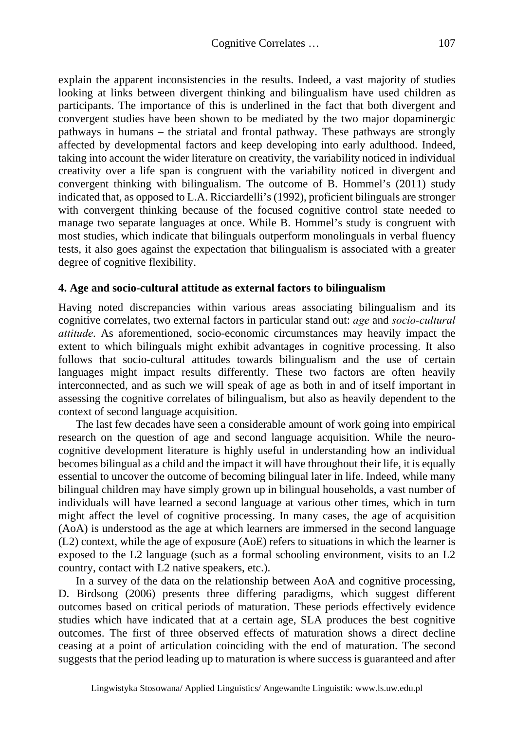explain the apparent inconsistencies in the results. Indeed, a vast majority of studies looking at links between divergent thinking and bilingualism have used children as participants. The importance of this is underlined in the fact that both divergent and convergent studies have been shown to be mediated by the two major dopaminergic pathways in humans – the striatal and frontal pathway. These pathways are strongly affected by developmental factors and keep developing into early adulthood. Indeed, taking into account the wider literature on creativity, the variability noticed in individual creativity over a life span is congruent with the variability noticed in divergent and convergent thinking with bilingualism. The outcome of B. Hommel's (2011) study indicated that, as opposed to L.A. Ricciardelli's (1992), proficient bilinguals are stronger with convergent thinking because of the focused cognitive control state needed to manage two separate languages at once. While B. Hommel's study is congruent with most studies, which indicate that bilinguals outperform monolinguals in verbal fluency tests, it also goes against the expectation that bilingualism is associated with a greater degree of cognitive flexibility.

## **4. Age and socio-cultural attitude as external factors to bilingualism**

Having noted discrepancies within various areas associating bilingualism and its cognitive correlates, two external factors in particular stand out: *age* and *socio-cultural attitude*. As aforementioned, socio-economic circumstances may heavily impact the extent to which bilinguals might exhibit advantages in cognitive processing. It also follows that socio-cultural attitudes towards bilingualism and the use of certain languages might impact results differently. These two factors are often heavily interconnected, and as such we will speak of age as both in and of itself important in assessing the cognitive correlates of bilingualism, but also as heavily dependent to the context of second language acquisition.

The last few decades have seen a considerable amount of work going into empirical research on the question of age and second language acquisition. While the neurocognitive development literature is highly useful in understanding how an individual becomes bilingual as a child and the impact it will have throughout their life, it is equally essential to uncover the outcome of becoming bilingual later in life. Indeed, while many bilingual children may have simply grown up in bilingual households, a vast number of individuals will have learned a second language at various other times, which in turn might affect the level of cognitive processing. In many cases, the age of acquisition (AoA) is understood as the age at which learners are immersed in the second language (L2) context, while the age of exposure (AoE) refers to situations in which the learner is exposed to the L2 language (such as a formal schooling environment, visits to an L2 country, contact with L2 native speakers, etc.).

In a survey of the data on the relationship between AoA and cognitive processing, D. Birdsong (2006) presents three differing paradigms, which suggest different outcomes based on critical periods of maturation. These periods effectively evidence studies which have indicated that at a certain age, SLA produces the best cognitive outcomes. The first of three observed effects of maturation shows a direct decline ceasing at a point of articulation coinciding with the end of maturation. The second suggests that the period leading up to maturation is where success is guaranteed and after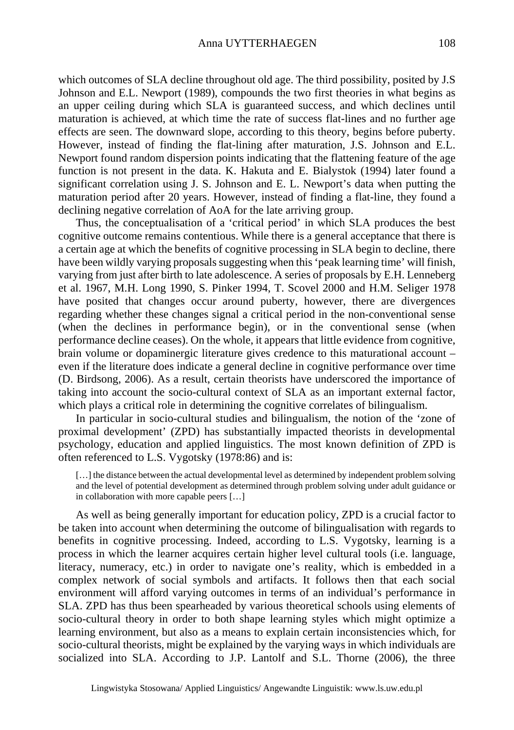which outcomes of SLA decline throughout old age. The third possibility, posited by J.S Johnson and E.L. Newport (1989), compounds the two first theories in what begins as an upper ceiling during which SLA is guaranteed success, and which declines until maturation is achieved, at which time the rate of success flat-lines and no further age effects are seen. The downward slope, according to this theory, begins before puberty. However, instead of finding the flat-lining after maturation, J.S. Johnson and E.L. Newport found random dispersion points indicating that the flattening feature of the age function is not present in the data. K. Hakuta and E. Bialystok (1994) later found a significant correlation using J. S. Johnson and E. L. Newport's data when putting the maturation period after 20 years. However, instead of finding a flat-line, they found a declining negative correlation of AoA for the late arriving group.

Thus, the conceptualisation of a 'critical period' in which SLA produces the best cognitive outcome remains contentious. While there is a general acceptance that there is a certain age at which the benefits of cognitive processing in SLA begin to decline, there have been wildly varying proposals suggesting when this 'peak learning time' will finish, varying from just after birth to late adolescence. A series of proposals by E.H. Lenneberg et al. 1967, M.H. Long 1990, S. Pinker 1994, T. Scovel 2000 and H.M. Seliger 1978 have posited that changes occur around puberty, however, there are divergences regarding whether these changes signal a critical period in the non-conventional sense (when the declines in performance begin), or in the conventional sense (when performance decline ceases). On the whole, it appears that little evidence from cognitive, brain volume or dopaminergic literature gives credence to this maturational account – even if the literature does indicate a general decline in cognitive performance over time (D. Birdsong, 2006). As a result, certain theorists have underscored the importance of taking into account the socio-cultural context of SLA as an important external factor, which plays a critical role in determining the cognitive correlates of bilingualism.

In particular in socio-cultural studies and bilingualism, the notion of the 'zone of proximal development' (ZPD) has substantially impacted theorists in developmental psychology, education and applied linguistics. The most known definition of ZPD is often referenced to L.S. Vygotsky (1978:86) and is:

[...] the distance between the actual developmental level as determined by independent problem solving and the level of potential development as determined through problem solving under adult guidance or in collaboration with more capable peers […]

As well as being generally important for education policy, ZPD is a crucial factor to be taken into account when determining the outcome of bilingualisation with regards to benefits in cognitive processing. Indeed, according to L.S. Vygotsky, learning is a process in which the learner acquires certain higher level cultural tools (i.e. language, literacy, numeracy, etc.) in order to navigate one's reality, which is embedded in a complex network of social symbols and artifacts. It follows then that each social environment will afford varying outcomes in terms of an individual's performance in SLA. ZPD has thus been spearheaded by various theoretical schools using elements of socio-cultural theory in order to both shape learning styles which might optimize a learning environment, but also as a means to explain certain inconsistencies which, for socio-cultural theorists, might be explained by the varying ways in which individuals are socialized into SLA. According to J.P. Lantolf and S.L. Thorne (2006), the three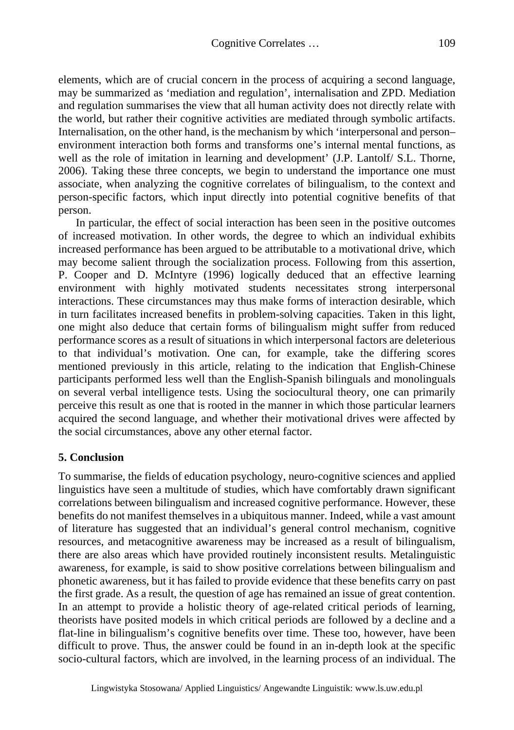elements, which are of crucial concern in the process of acquiring a second language, may be summarized as 'mediation and regulation', internalisation and ZPD. Mediation and regulation summarises the view that all human activity does not directly relate with the world, but rather their cognitive activities are mediated through symbolic artifacts. Internalisation, on the other hand, is the mechanism by which 'interpersonal and person– environment interaction both forms and transforms one's internal mental functions, as well as the role of imitation in learning and development' (J.P. Lantolf/ S.L. Thorne, 2006). Taking these three concepts, we begin to understand the importance one must associate, when analyzing the cognitive correlates of bilingualism, to the context and person-specific factors, which input directly into potential cognitive benefits of that person.

In particular, the effect of social interaction has been seen in the positive outcomes of increased motivation. In other words, the degree to which an individual exhibits increased performance has been argued to be attributable to a motivational drive, which may become salient through the socialization process. Following from this assertion, P. Cooper and D. McIntyre (1996) logically deduced that an effective learning environment with highly motivated students necessitates strong interpersonal interactions. These circumstances may thus make forms of interaction desirable, which in turn facilitates increased benefits in problem-solving capacities. Taken in this light, one might also deduce that certain forms of bilingualism might suffer from reduced performance scores as a result of situations in which interpersonal factors are deleterious to that individual's motivation. One can, for example, take the differing scores mentioned previously in this article, relating to the indication that English-Chinese participants performed less well than the English-Spanish bilinguals and monolinguals on several verbal intelligence tests. Using the sociocultural theory, one can primarily perceive this result as one that is rooted in the manner in which those particular learners acquired the second language, and whether their motivational drives were affected by the social circumstances, above any other eternal factor.

## **5. Conclusion**

To summarise, the fields of education psychology, neuro-cognitive sciences and applied linguistics have seen a multitude of studies, which have comfortably drawn significant correlations between bilingualism and increased cognitive performance. However, these benefits do not manifest themselves in a ubiquitous manner. Indeed, while a vast amount of literature has suggested that an individual's general control mechanism, cognitive resources, and metacognitive awareness may be increased as a result of bilingualism, there are also areas which have provided routinely inconsistent results. Metalinguistic awareness, for example, is said to show positive correlations between bilingualism and phonetic awareness, but it has failed to provide evidence that these benefits carry on past the first grade. As a result, the question of age has remained an issue of great contention. In an attempt to provide a holistic theory of age-related critical periods of learning, theorists have posited models in which critical periods are followed by a decline and a flat-line in bilingualism's cognitive benefits over time. These too, however, have been difficult to prove. Thus, the answer could be found in an in-depth look at the specific socio-cultural factors, which are involved, in the learning process of an individual. The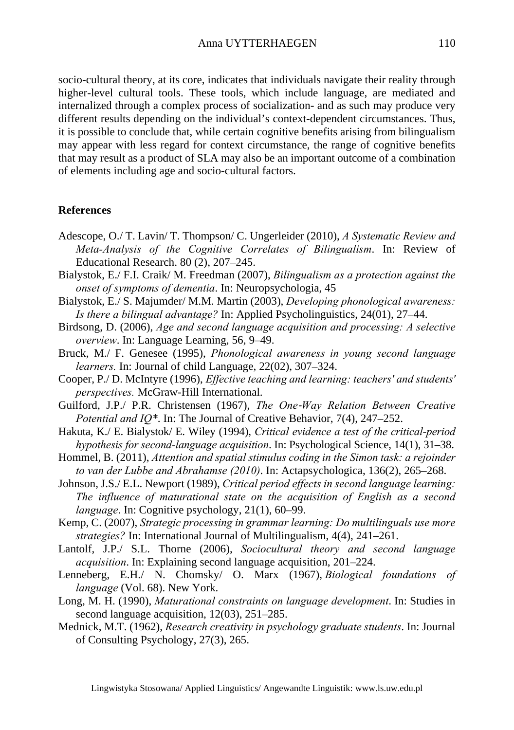socio-cultural theory, at its core, indicates that individuals navigate their reality through higher-level cultural tools. These tools, which include language, are mediated and internalized through a complex process of socialization- and as such may produce very different results depending on the individual's context-dependent circumstances. Thus, it is possible to conclude that, while certain cognitive benefits arising from bilingualism may appear with less regard for context circumstance, the range of cognitive benefits that may result as a product of SLA may also be an important outcome of a combination of elements including age and socio-cultural factors.

## **References**

- Adescope, O./ T. Lavin/ T. Thompson/ C. Ungerleider (2010), *A Systematic Review and Meta-Analysis of the Cognitive Correlates of Bilingualism*. In: Review of Educational Research. 80 (2), 207–245.
- Bialystok, E./ F.I. Craik/ M. Freedman (2007), *Bilingualism as a protection against the onset of symptoms of dementia*. In: Neuropsychologia, 45
- Bialystok, E./ S. Majumder/ M.M. Martin (2003), *Developing phonological awareness: Is there a bilingual advantage?* In: Applied Psycholinguistics, 24(01), 27–44.
- Birdsong, D. (2006), *Age and second language acquisition and processing: A selective overview*. In: Language Learning, 56, 9–49.
- Bruck, M./ F. Genesee (1995), *Phonological awareness in young second language learners.* In: Journal of child Language, 22(02), 307–324.
- Cooper, P./ D. McIntyre (1996), *Effective teaching and learning: teachers' and students' perspectives.* McGraw-Hill International.
- Guilford, J.P./ P.R. Christensen (1967), *The One*‐*Way Relation Between Creative Potential and IQ\**. In: The Journal of Creative Behavior, 7(4), 247–252.
- Hakuta, K./ E. Bialystok/ E. Wiley (1994), *Critical evidence a test of the critical-period hypothesis for second-language acquisition*. In: Psychological Science, 14(1), 31–38.
- Hommel, B. (2011), *Attention and spatial stimulus coding in the Simon task: a rejoinder to van der Lubbe and Abrahamse (2010)*. In: Actapsychologica, 136(2), 265–268.
- Johnson, J.S./ E.L. Newport (1989), *Critical period effects in second language learning: The influence of maturational state on the acquisition of English as a second language*. In: Cognitive psychology, 21(1), 60–99.
- Kemp, C. (2007), *Strategic processing in grammar learning: Do multilinguals use more strategies?* In: International Journal of Multilingualism, 4(4), 241–261.
- Lantolf, J.P./ S.L. Thorne (2006), *Sociocultural theory and second language acquisition*. In: Explaining second language acquisition, 201–224.
- Lenneberg, E.H./ N. Chomsky/ O. Marx (1967), *Biological foundations of language* (Vol. 68). New York.
- Long, M. H. (1990), *Maturational constraints on language development*. In: Studies in second language acquisition, 12(03), 251–285.
- Mednick, M.T. (1962), *Research creativity in psychology graduate students*. In: Journal of Consulting Psychology, 27(3), 265.